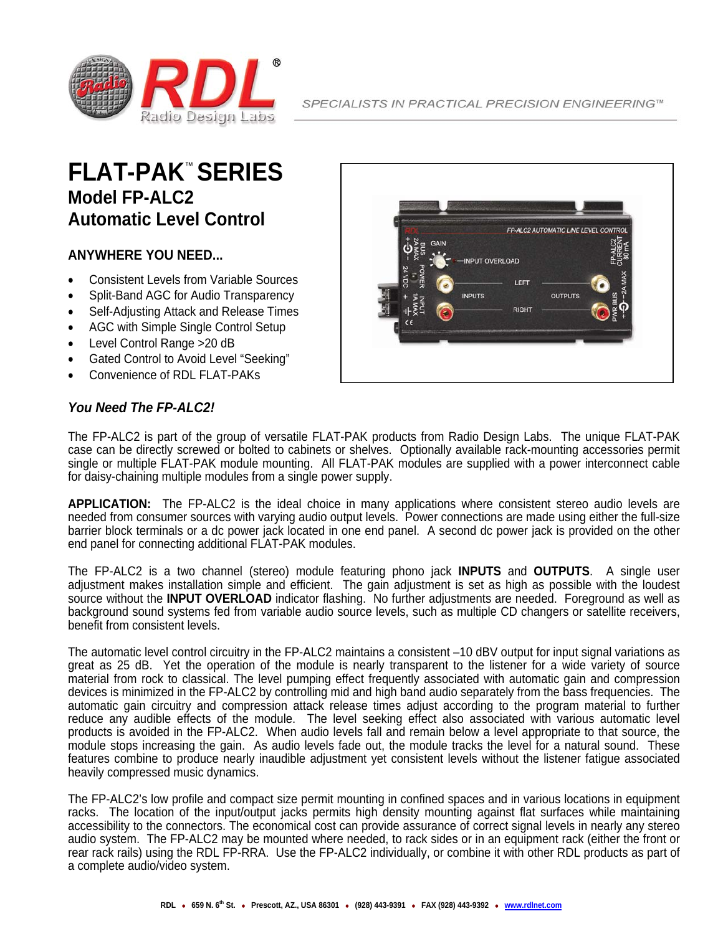

## **FLAT-PAK**™ **SERIES Model FP-ALC2 Automatic Level Control**

## **ANYWHERE YOU NEED...**

- Consistent Levels from Variable Sources
- Split-Band AGC for Audio Transparency
- Self-Adjusting Attack and Release Times
- AGC with Simple Single Control Setup
- Level Control Range >20 dB
- Gated Control to Avoid Level "Seeking"
- Convenience of RDL FLAT-PAKs

## FP-ALC2 AUTOMATIC LINE LEVEL CONTROL INPUT OVERLOAD LEFT **INPUTS OUTPUTS RIGHT**

## *You Need The FP-ALC2!*

The FP-ALC2 is part of the group of versatile FLAT-PAK products from Radio Design Labs. The unique FLAT-PAK case can be directly screwed or bolted to cabinets or shelves. Optionally available rack-mounting accessories permit single or multiple FLAT-PAK module mounting. All FLAT-PAK modules are supplied with a power interconnect cable for daisy-chaining multiple modules from a single power supply.

**APPLICATION:** The FP-ALC2 is the ideal choice in many applications where consistent stereo audio levels are needed from consumer sources with varying audio output levels. Power connections are made using either the full-size barrier block terminals or a dc power jack located in one end panel. A second dc power jack is provided on the other end panel for connecting additional FLAT-PAK modules.

The FP-ALC2 is a two channel (stereo) module featuring phono jack **INPUTS** and **OUTPUTS**. A single user adjustment makes installation simple and efficient. The gain adjustment is set as high as possible with the loudest source without the **INPUT OVERLOAD** indicator flashing. No further adjustments are needed. Foreground as well as background sound systems fed from variable audio source levels, such as multiple CD changers or satellite receivers, benefit from consistent levels.

The automatic level control circuitry in the FP-ALC2 maintains a consistent –10 dBV output for input signal variations as great as 25 dB. Yet the operation of the module is nearly transparent to the listener for a wide variety of source material from rock to classical. The level pumping effect frequently associated with automatic gain and compression devices is minimized in the FP-ALC2 by controlling mid and high band audio separately from the bass frequencies. The automatic gain circuitry and compression attack release times adjust according to the program material to further reduce any audible effects of the module. The level seeking effect also associated with various automatic level products is avoided in the FP-ALC2. When audio levels fall and remain below a level appropriate to that source, the module stops increasing the gain. As audio levels fade out, the module tracks the level for a natural sound. These features combine to produce nearly inaudible adjustment yet consistent levels without the listener fatigue associated heavily compressed music dynamics.

The FP-ALC2's low profile and compact size permit mounting in confined spaces and in various locations in equipment racks. The location of the input/output jacks permits high density mounting against flat surfaces while maintaining accessibility to the connectors. The economical cost can provide assurance of correct signal levels in nearly any stereo audio system. The FP-ALC2 may be mounted where needed, to rack sides or in an equipment rack (either the front or rear rack rails) using the RDL FP-RRA. Use the FP-ALC2 individually, or combine it with other RDL products as part of a complete audio/video system.